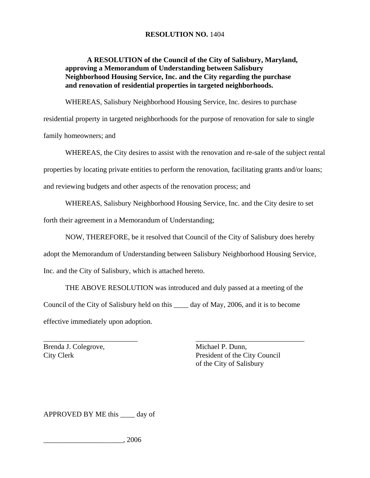## **RESOLUTION NO.** 1404

## **A RESOLUTION of the Council of the City of Salisbury, Maryland, approving a Memorandum of Understanding between Salisbury Neighborhood Housing Service, Inc. and the City regarding the purchase and renovation of residential properties in targeted neighborhoods.**

WHEREAS, Salisbury Neighborhood Housing Service, Inc. desires to purchase

residential property in targeted neighborhoods for the purpose of renovation for sale to single family homeowners; and

 WHEREAS, the City desires to assist with the renovation and re-sale of the subject rental properties by locating private entities to perform the renovation, facilitating grants and/or loans; and reviewing budgets and other aspects of the renovation process; and

WHEREAS, Salisbury Neighborhood Housing Service, Inc. and the City desire to set

forth their agreement in a Memorandum of Understanding;

NOW, THEREFORE, be it resolved that Council of the City of Salisbury does hereby

adopt the Memorandum of Understanding between Salisbury Neighborhood Housing Service,

Inc. and the City of Salisbury, which is attached hereto.

 THE ABOVE RESOLUTION was introduced and duly passed at a meeting of the Council of the City of Salisbury held on this \_\_\_\_ day of May, 2006, and it is to become effective immediately upon adoption.

\_\_\_\_\_\_\_\_\_\_\_\_\_\_\_\_\_\_\_\_\_\_\_\_\_\_ \_\_\_\_\_\_\_\_\_\_\_\_\_\_\_\_\_\_\_\_\_\_\_\_\_\_\_\_\_\_ Brenda J. Colegrove, Michael P. Dunn,

City Clerk President of the City Council of the City of Salisbury

APPROVED BY ME this \_\_\_\_ day of

\_\_\_\_\_\_\_\_\_\_\_\_\_\_\_\_\_\_\_\_\_\_, 2006